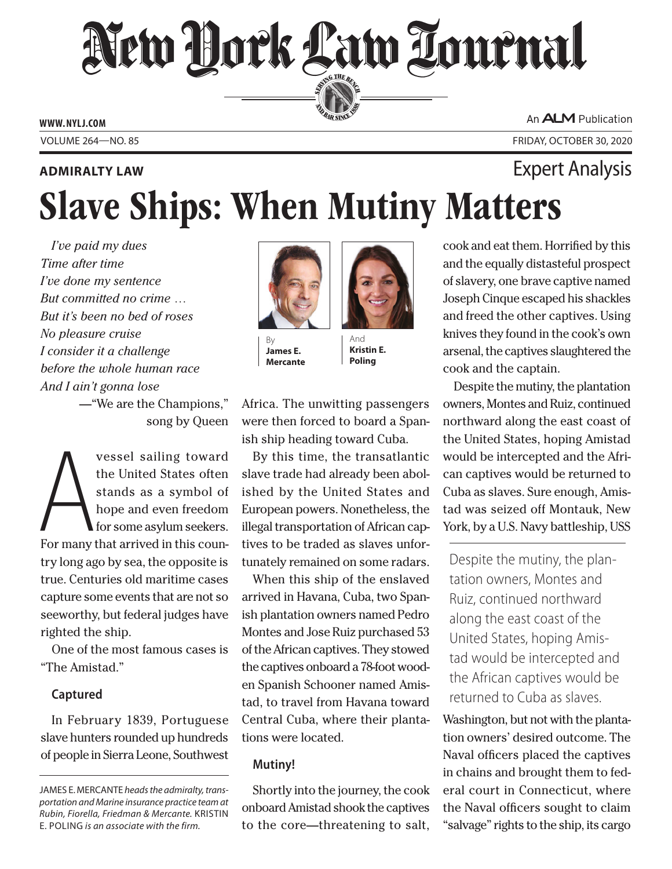# New Hock Law Louenal SERVING THE BEN

**ED BAR SINCE 188** 

**www. NYLJ.com**

An **ALM** Publication

## **Admiralty Law** Expert Analysis Slave Ships: When Mutiny Matters

*I've paid my dues Time after time I've done my sentence But committed no crime … But it's been no bed of roses No pleasure cruise I consider it a challenge before the whole human race And I ain't gonna lose*

> —"We are the Champions," song by Queen

vessel sailing toward<br>the United States often<br>stands as a symbol of<br>hope and even freedom<br>for some asylum seekers.<br>For many that arrived in this counthe United States often stands as a symbol of hope and even freedom for some asylum seekers. try long ago by sea, the opposite is true. Centuries old maritime cases capture some events that are not so seeworthy, but federal judges have righted the ship.

One of the most famous cases is "The Amistad."

#### **Captured**

In February 1839, Portuguese slave hunters rounded up hundreds of people in Sierra Leone, Southwest



By **James E. Mercante**



**Kristin E. Poling**

Africa. The unwitting passengers were then forced to board a Spanish ship heading toward Cuba.

By this time, the transatlantic slave trade had already been abolished by the United States and European powers. Nonetheless, the illegal transportation of African captives to be traded as slaves unfortunately remained on some radars.

When this ship of the enslaved arrived in Havana, Cuba, two Spanish plantation owners named Pedro Montes and Jose Ruiz purchased 53 of the African captives. They stowed the captives onboard a 78-foot wooden Spanish Schooner named Amistad, to travel from Havana toward Central Cuba, where their plantations were located.

### **Mutiny!**

Shortly into the journey, the cook onboard Amistad shook the captives to the core—threatening to salt, cook and eat them. Horrified by this and the equally distasteful prospect of slavery, one brave captive named Joseph Cinque escaped his shackles and freed the other captives. Using knives they found in the cook's own

cook and the captain. Despite the mutiny, the plantation owners, Montes and Ruiz, continued northward along the east coast of the United States, hoping Amistad would be intercepted and the African captives would be returned to Cuba as slaves. Sure enough, Amistad was seized off Montauk, New York, by a U.S. Navy battleship, USS

arsenal, the captives slaughtered the

Despite the mutiny, the plantation owners, Montes and Ruiz, continued northward along the east coast of the United States, hoping Amistad would be intercepted and the African captives would be returned to Cuba as slaves.

Washington, but not with the plantation owners' desired outcome. The Naval officers placed the captives in chains and brought them to federal court in Connecticut, where the Naval officers sought to claim "salvage" rights to the ship, its cargo

James E. Mercante *heads the admiralty, transportation and Marine insurance practice team at Rubin, Fiorella, Friedman & Mercante.* Kristin E. Poling *is an associate with the firm.*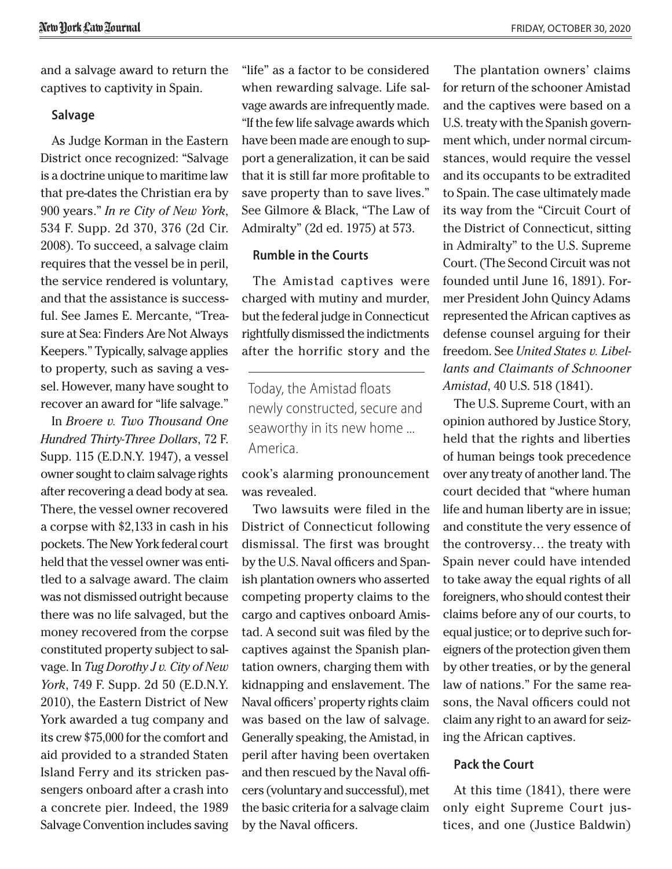and a salvage award to return the captives to captivity in Spain.

#### **Salvage**

As Judge Korman in the Eastern District once recognized: "Salvage is a doctrine unique to maritime law that pre-dates the Christian era by 900 years." *In re City of New York*, 534 F. Supp. 2d 370, 376 (2d Cir. 2008). To succeed, a salvage claim requires that the vessel be in peril, the service rendered is voluntary, and that the assistance is successful. See James E. Mercante, "Treasure at Sea: Finders Are Not Always Keepers." Typically, salvage applies to property, such as saving a vessel. However, many have sought to recover an award for "life salvage."

In *Broere v. Two Thousand One Hundred Thirty-Three Dollars*, 72 F. Supp. 115 (E.D.N.Y. 1947), a vessel owner sought to claim salvage rights after recovering a dead body at sea. There, the vessel owner recovered a corpse with \$2,133 in cash in his pockets. The New York federal court held that the vessel owner was entitled to a salvage award. The claim was not dismissed outright because there was no life salvaged, but the money recovered from the corpse constituted property subject to salvage. In *Tug Dorothy J v. City of New York*, 749 F. Supp. 2d 50 (E.D.N.Y. 2010), the Eastern District of New York awarded a tug company and its crew \$75,000 for the comfort and aid provided to a stranded Staten Island Ferry and its stricken passengers onboard after a crash into a concrete pier. Indeed, the 1989 Salvage Convention includes saving

"life" as a factor to be considered when rewarding salvage. Life salvage awards are infrequently made. "If the few life salvage awards which have been made are enough to support a generalization, it can be said that it is still far more profitable to save property than to save lives." See Gilmore & Black, "The Law of Admiralty" (2d ed. 1975) at 573.

#### **Rumble in the Courts**

The Amistad captives were charged with mutiny and murder, but the federal judge in Connecticut rightfully dismissed the indictments after the horrific story and the

Today, the Amistad floats newly constructed, secure and seaworthy in its new home ... America.

cook's alarming pronouncement was revealed.

Two lawsuits were filed in the District of Connecticut following dismissal. The first was brought by the U.S. Naval officers and Spanish plantation owners who asserted competing property claims to the cargo and captives onboard Amistad. A second suit was filed by the captives against the Spanish plantation owners, charging them with kidnapping and enslavement. The Naval officers' property rights claim was based on the law of salvage. Generally speaking, the Amistad, in peril after having been overtaken and then rescued by the Naval officers (voluntary and successful), met the basic criteria for a salvage claim by the Naval officers.

The plantation owners' claims for return of the schooner Amistad and the captives were based on a U.S. treaty with the Spanish government which, under normal circumstances, would require the vessel and its occupants to be extradited to Spain. The case ultimately made its way from the "Circuit Court of the District of Connecticut, sitting in Admiralty" to the U.S. Supreme Court. (The Second Circuit was not founded until June 16, 1891). Former President John Quincy Adams represented the African captives as defense counsel arguing for their freedom. See *United States v. Libellants and Claimants of Schnooner Amistad*, 40 U.S. 518 (1841).

The U.S. Supreme Court, with an opinion authored by Justice Story, held that the rights and liberties of human beings took precedence over any treaty of another land. The court decided that "where human life and human liberty are in issue; and constitute the very essence of the controversy… the treaty with Spain never could have intended to take away the equal rights of all foreigners, who should contest their claims before any of our courts, to equal justice; or to deprive such foreigners of the protection given them by other treaties, or by the general law of nations." For the same reasons, the Naval officers could not claim any right to an award for seizing the African captives.

#### **Pack the Court**

At this time (1841), there were only eight Supreme Court justices, and one (Justice Baldwin)